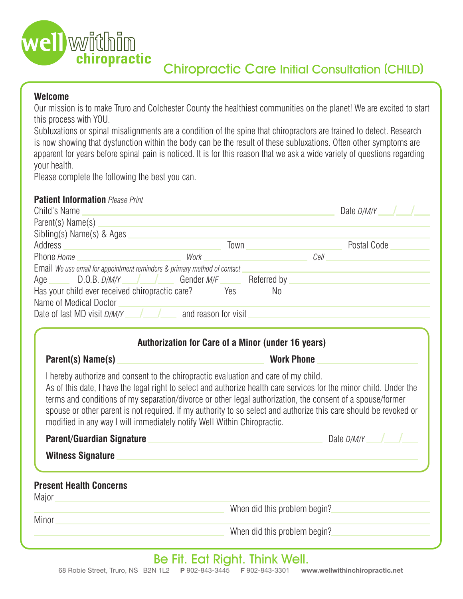

### **Welcome**

Our mission is to make Truro and Colchester County the healthiest communities on the planet! We are excited to start this process with YOU.

Subluxations or spinal misalignments are a condition of the spine that chiropractors are trained to detect. Research is now showing that dysfunction within the body can be the result of these subluxations. Often other symptoms are apparent for years before spinal pain is noticed. It is for this reason that we ask a wide variety of questions regarding your health.

Please complete the following the best you can.

#### **Patient Information** *Please Print*

| Child's Name                                                                                                                                                                                                                                                                                                                                                                                                                                                                                                             |                                                                                                                 |                                       | Date D/M/Y  |
|--------------------------------------------------------------------------------------------------------------------------------------------------------------------------------------------------------------------------------------------------------------------------------------------------------------------------------------------------------------------------------------------------------------------------------------------------------------------------------------------------------------------------|-----------------------------------------------------------------------------------------------------------------|---------------------------------------|-------------|
| Parent(s) Name(s)                                                                                                                                                                                                                                                                                                                                                                                                                                                                                                        |                                                                                                                 |                                       |             |
| Sibling(s) Name(s) & Ages                                                                                                                                                                                                                                                                                                                                                                                                                                                                                                |                                                                                                                 |                                       |             |
| Address                                                                                                                                                                                                                                                                                                                                                                                                                                                                                                                  | Town                                                                                                            | <u> 1999 - Johann Barbara, martxa</u> | Postal Code |
| Phone Home                                                                                                                                                                                                                                                                                                                                                                                                                                                                                                               | Work                                                                                                            |                                       | Cell        |
| Email We use email for appointment reminders & primary method of contact<br>$D.O.B. D/M/Y$ $\qquad$ $\qquad$ $\qquad$ Gender $M/F$ $\qquad$ Referred by<br>Age <b>Age</b><br>Has your child ever received chiropractic care? Yes<br>Name of Medical Doctor<br>Date of last MD visit $D/M/Y$ / $\blacksquare$ and reason for visit                                                                                                                                                                                        |                                                                                                                 | N <sub>0</sub>                        |             |
| Parent(s) Name(s)                                                                                                                                                                                                                                                                                                                                                                                                                                                                                                        | Authorization for Care of a Minor (under 16 years)                                                              | <b>Work Phone</b>                     |             |
| I hereby authorize and consent to the chiropractic evaluation and care of my child.<br>As of this date, I have the legal right to select and authorize health care services for the minor child. Under the<br>terms and conditions of my separation/divorce or other legal authorization, the consent of a spouse/former<br>spouse or other parent is not required. If my authority to so select and authorize this care should be revoked or<br>modified in any way I will immediately notify Well Within Chiropractic. |                                                                                                                 |                                       |             |
| Parent/Guardian Signature                                                                                                                                                                                                                                                                                                                                                                                                                                                                                                |                                                                                                                 |                                       | Date D/M/Y  |
| <b>Witness Signature</b>                                                                                                                                                                                                                                                                                                                                                                                                                                                                                                 | and the control of the control of the control of the control of the control of the control of the control of th |                                       |             |
| <b>Present Health Concerns</b>                                                                                                                                                                                                                                                                                                                                                                                                                                                                                           |                                                                                                                 |                                       |             |
| Major                                                                                                                                                                                                                                                                                                                                                                                                                                                                                                                    |                                                                                                                 | When did this problem begin?          |             |

**Minor** 

When did this problem begin?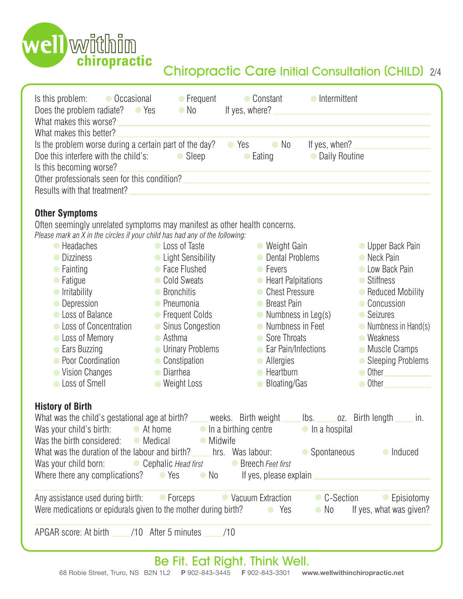

# Chiropractic Care Initial Consultation (CHILD) 2/4

| What makes this better?                                                                                                                                                                                                                                                                                                                                                                                                                                                                                                                                                                                                                                                                                                      |     |
|------------------------------------------------------------------------------------------------------------------------------------------------------------------------------------------------------------------------------------------------------------------------------------------------------------------------------------------------------------------------------------------------------------------------------------------------------------------------------------------------------------------------------------------------------------------------------------------------------------------------------------------------------------------------------------------------------------------------------|-----|
| Is the problem worse during a certain part of the day?<br>$\bullet$ Yes<br>$\bullet$ No<br>If yes, when?<br>Doe this interfere with the child's: $\bullet$ Sleep<br>• Daily Routine<br>$\bullet$ Eating<br>Is this becoming worse?<br>Other professionals seen for this condition?                                                                                                                                                                                                                                                                                                                                                                                                                                           |     |
| Results with that treatment?                                                                                                                                                                                                                                                                                                                                                                                                                                                                                                                                                                                                                                                                                                 |     |
| <b>Other Symptoms</b><br>Often seemingly unrelated symptoms may manifest as other health concerns.<br>Please mark an X in the circles if your child has had any of the following:<br>Loss of Taste<br>• Weight Gain<br>● Headaches<br>• Upper Back Pain<br>• Dental Problems<br>• Neck Pain<br>• Light Sensibility<br>• Dizziness                                                                                                                                                                                                                                                                                                                                                                                            |     |
| • Face Flushed<br><b>C</b> Low Back Pain<br>$\bullet$ Fainting<br>• Fevers<br>Cold Sweats<br>• Heart Palpitations<br>● Stiffness<br>• Fatigue<br>• Chest Pressure<br><b>Irritability</b><br>• Bronchitis<br>• Reduced Mobility<br>• Concussion<br>• Depression<br>• Pneumonia<br><b>Breast Pain</b><br>• Frequent Colds<br>• Numbness in Leg(s)<br>Loss of Balance<br>• Seizures<br>• Sinus Congestion<br>• Loss of Concentration<br>Numbness in Feet<br>• Numbness in Hand(s)<br>Loss of Memory<br>$\bullet$ Asthma<br>• Sore Throats<br>• Weakness<br>• Ears Buzzing<br><b>Urinary Problems</b><br>• Ear Pain/Infections<br>• Muscle Cramps<br>• Poor Coordination<br>• Constipation<br>• Sleeping Problems<br>• Allergies |     |
| • Diarrhea<br>• Vision Changes<br>Heartburn<br>$\bullet$ Other<br>Loss of Smell<br>• Weight Loss<br><b>Bloating/Gas</b><br>• Other                                                                                                                                                                                                                                                                                                                                                                                                                                                                                                                                                                                           |     |
| <b>History of Birth</b><br>What was the child's gestational age at birth? _____ weeks. Birth weight _____<br>$\mathsf{lbs.}$<br>oz. Birth length<br>Was your child's birth: $\bullet$ At home $\bullet$ In a birthing centre $\bullet$ In a hospital<br>Was the birth considered: $\bullet$ Medical<br>• Midwife<br>What was the duration of the labour and birth? hrs. Was labour:<br>• Spontaneous<br>• Induced<br>Was your child born: Cephalic <i>Head first</i><br>● Breech Feet first<br>Where there any complications? $\bullet$ Yes<br>$\bullet$ No<br>If yes, please explain                                                                                                                                        | in. |
| Any assistance used during birth: Correps Containing Distraction<br>• Episiotomy<br>• C-Section<br>Were medications or epidurals given to the mother during birth? $\bullet$ Yes<br>If yes, what was given?<br>$\bullet$ No                                                                                                                                                                                                                                                                                                                                                                                                                                                                                                  |     |
| APGAR score: At birth _______/10 After 5 minutes<br>/10                                                                                                                                                                                                                                                                                                                                                                                                                                                                                                                                                                                                                                                                      |     |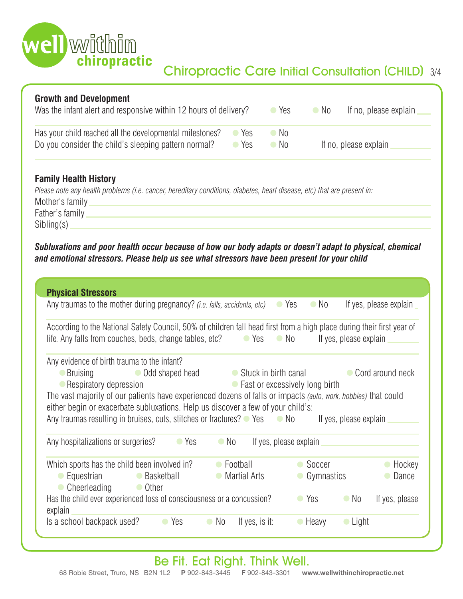

| <b>Growth and Development</b><br>Was the infant alert and responsive within 12 hours of delivery?                |            | $\bullet$ Yes | $\bullet$ No | If no, please explain |
|------------------------------------------------------------------------------------------------------------------|------------|---------------|--------------|-----------------------|
| Has your child reached all the developmental milestones?<br>Do you consider the child's sleeping pattern normal? | Yes<br>Yes | No.<br>No No  |              | If no, please explain |

#### **Family Health History**

| Please note any health problems (i.e. cancer, hereditary conditions, diabetes, heart disease, etc) that are present in: |  |
|-------------------------------------------------------------------------------------------------------------------------|--|
| Mother's family                                                                                                         |  |
| Father's family                                                                                                         |  |
| Sibling(s)                                                                                                              |  |

*Subluxations and poor health occur because of how our body adapts or doesn't adapt to physical, chemical and emotional stressors. Please help us see what stressors have been present for your child*

| <b>Physical Stressors</b>                                                                                                                                                                                                                                                                                                                                                                                     |                                   |                                  |                                              |
|---------------------------------------------------------------------------------------------------------------------------------------------------------------------------------------------------------------------------------------------------------------------------------------------------------------------------------------------------------------------------------------------------------------|-----------------------------------|----------------------------------|----------------------------------------------|
| Any traumas to the mother during pregnancy? <i>(i.e. falls, accidents, etc)</i>                                                                                                                                                                                                                                                                                                                               |                                   | $\bullet$ No<br>$\bullet$ Yes    | If yes, please explain                       |
| According to the National Safety Council, 50% of children fall head first from a high place during their first year of<br>life. Any falls from couches, beds, change tables, etc?                                                                                                                                                                                                                             | $\bullet$ Yes                     | $\bullet$ No                     | If yes, please explain                       |
| Any evidence of birth trauma to the infant?<br>• Odd shaped head<br>● Bruising<br>• Respiratory depression<br>The vast majority of our patients have experienced dozens of falls or impacts (auto, work, hobbies) that could<br>either begin or exacerbate subluxations. Help us discover a few of your child's:<br>Any traumas resulting in bruises, cuts, stitches or fractures? $\bullet$ Yes $\bullet$ No | • Stuck in birth canal            | • Fast or excessively long birth | • Cord around neck<br>If yes, please explain |
| Any hospitalizations or surgeries?<br>$\bullet$ Yes                                                                                                                                                                                                                                                                                                                                                           | $\bullet$ No                      | If yes, please explain           |                                              |
| Which sports has the child been involved in?<br>Equestrian<br>• Basketball<br>Cheerleading<br>• Other                                                                                                                                                                                                                                                                                                         | • Football<br><b>Martial Arts</b> | $\bullet$ Soccer<br>Gymnastics   | $\bullet$ Hockey<br>Dance                    |
| Has the child ever experienced loss of consciousness or a concussion?<br>explain                                                                                                                                                                                                                                                                                                                              |                                   | $\bullet$ Yes                    | $\bullet$ No<br>If yes, please               |
| ls a school backpack used?<br>$\bullet$ Yes                                                                                                                                                                                                                                                                                                                                                                   | If yes, is it:<br>$\bullet$ No    | $\bullet$ Heavy                  | $\bullet$ Light                              |